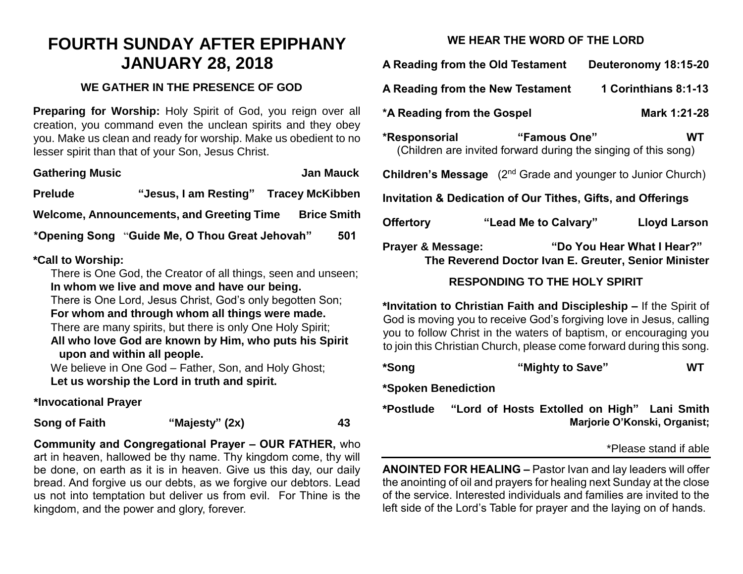# **FOURTH SUNDAY AFTER EPIPHANY JANUARY 28, 2018**

#### **WE GATHER IN THE PRESENCE OF GOD**

**Preparing for Worship:** Holy Spirit of God, you reign over all creation, you command even the unclean spirits and they obey you. Make us clean and ready for worship. Make us obedient to no lesser spirit than that of your Son, Jesus Christ.

| <b>Gathering Music</b>                    |                                                | <b>Jan Mauck</b> |                    |     |
|-------------------------------------------|------------------------------------------------|------------------|--------------------|-----|
| <b>Prelude</b>                            | "Jesus, I am Resting" Tracey McKibben          |                  |                    |     |
| Welcome, Announcements, and Greeting Time |                                                |                  | <b>Brice Smith</b> |     |
|                                           | *Opening Song "Guide Me, O Thou Great Jehovah" |                  |                    | 501 |
|                                           |                                                |                  |                    |     |

#### **\*Call to Worship:**

There is One God, the Creator of all things, seen and unseen; **In whom we live and move and have our being.**

There is One Lord, Jesus Christ, God's only begotten Son; **For whom and through whom all things were made.**

There are many spirits, but there is only One Holy Spirit; **All who love God are known by Him, who puts his Spirit** 

### **upon and within all people.**

We believe in One God – Father, Son, and Holy Ghost; **Let us worship the Lord in truth and spirit.**

## **\*Invocational Prayer**

**Song of Faith "Majesty" (2x) 43**

**Community and Congregational Prayer – OUR FATHER,** who art in heaven, hallowed be thy name. Thy kingdom come, thy will be done, on earth as it is in heaven. Give us this day, our daily bread. And forgive us our debts, as we forgive our debtors. Lead us not into temptation but deliver us from evil. For Thine is the kingdom, and the power and glory, forever.

## **WE HEAR THE WORD OF THE LORD**

**A Reading from the Old Testament Deuteronomy 18:15-20 A Reading from the New Testament 1 Corinthians 8:1-13 \*A Reading from the Gospel Mark 1:21-28 \*Responsorial "Famous One" WT** (Children are invited forward during the singing of this song) **Children's Message** (2<sup>nd</sup> Grade and younger to Junior Church) **Invitation & Dedication of Our Tithes, Gifts, and Offerings Offertory "Lead Me to Calvary" Lloyd Larson Prayer & Message: "Do You Hear What I Hear?"**

## **The Reverend Doctor Ivan E. Greuter, Senior Minister**

## **RESPONDING TO THE HOLY SPIRIT**

**\*Invitation to Christian Faith and Discipleship –** If the Spirit of God is moving you to receive God's forgiving love in Jesus, calling you to follow Christ in the waters of baptism, or encouraging you to join this Christian Church, please come forward during this song.

**\*Song "Mighty to Save" WT**

**\*Spoken Benediction**

**\*Postlude "Lord of Hosts Extolled on High" Lani Smith Marjorie O'Konski, Organist;**

#### \*Please stand if able

**ANOINTED FOR HEALING –** Pastor Ivan and lay leaders will offer the anointing of oil and prayers for healing next Sunday at the close of the service. Interested individuals and families are invited to the left side of the Lord's Table for prayer and the laying on of hands.